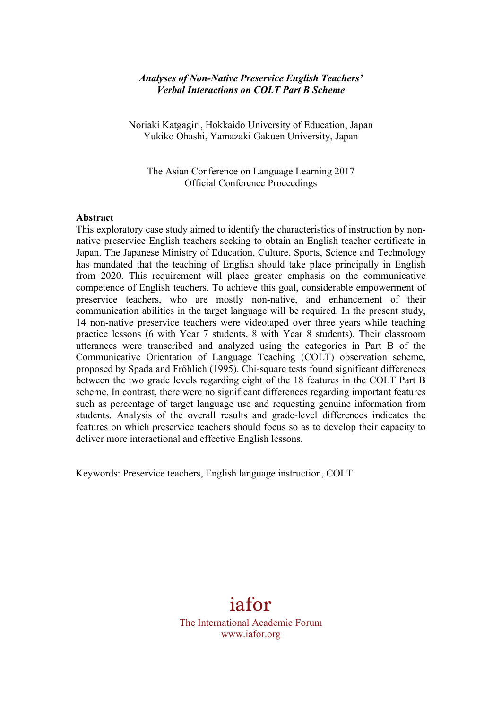## *Analyses of Non-Native Preservice English Teachers' Verbal Interactions on COLT Part B Scheme*

Noriaki Katgagiri, Hokkaido University of Education, Japan Yukiko Ohashi, Yamazaki Gakuen University, Japan

The Asian Conference on Language Learning 2017 Official Conference Proceedings

#### **Abstract**

This exploratory case study aimed to identify the characteristics of instruction by nonnative preservice English teachers seeking to obtain an English teacher certificate in Japan. The Japanese Ministry of Education, Culture, Sports, Science and Technology has mandated that the teaching of English should take place principally in English from 2020. This requirement will place greater emphasis on the communicative competence of English teachers. To achieve this goal, considerable empowerment of preservice teachers, who are mostly non-native, and enhancement of their communication abilities in the target language will be required. In the present study, 14 non-native preservice teachers were videotaped over three years while teaching practice lessons (6 with Year 7 students, 8 with Year 8 students). Their classroom utterances were transcribed and analyzed using the categories in Part B of the Communicative Orientation of Language Teaching (COLT) observation scheme, proposed by Spada and Fröhlich (1995). Chi-square tests found significant differences between the two grade levels regarding eight of the 18 features in the COLT Part B scheme. In contrast, there were no significant differences regarding important features such as percentage of target language use and requesting genuine information from students. Analysis of the overall results and grade-level differences indicates the features on which preservice teachers should focus so as to develop their capacity to deliver more interactional and effective English lessons.

Keywords: Preservice teachers, English language instruction, COLT

# iafor

The International Academic Forum www.iafor.org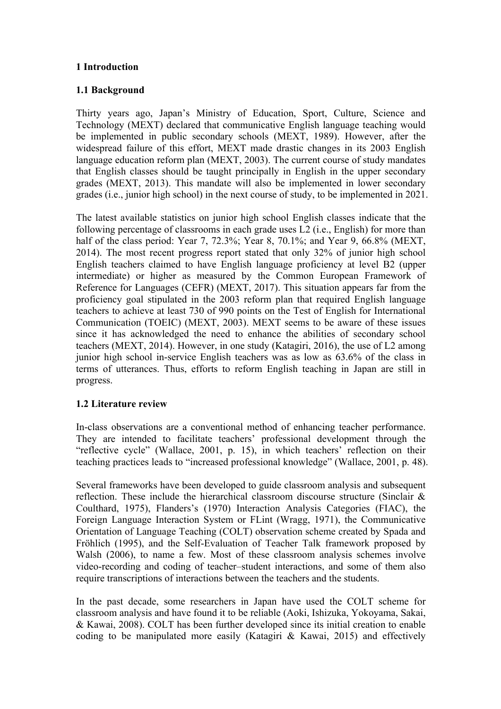# **1 Introduction**

## **1.1 Background**

Thirty years ago, Japan's Ministry of Education, Sport, Culture, Science and Technology (MEXT) declared that communicative English language teaching would be implemented in public secondary schools (MEXT, 1989). However, after the widespread failure of this effort, MEXT made drastic changes in its 2003 English language education reform plan (MEXT, 2003). The current course of study mandates that English classes should be taught principally in English in the upper secondary grades (MEXT, 2013). This mandate will also be implemented in lower secondary grades (i.e., junior high school) in the next course of study, to be implemented in 2021.

The latest available statistics on junior high school English classes indicate that the following percentage of classrooms in each grade uses L2 (i.e., English) for more than half of the class period: Year 7, 72.3%; Year 8, 70.1%; and Year 9, 66.8% (MEXT, 2014). The most recent progress report stated that only 32% of junior high school English teachers claimed to have English language proficiency at level B2 (upper intermediate) or higher as measured by the Common European Framework of Reference for Languages (CEFR) (MEXT, 2017). This situation appears far from the proficiency goal stipulated in the 2003 reform plan that required English language teachers to achieve at least 730 of 990 points on the Test of English for International Communication (TOEIC) (MEXT, 2003). MEXT seems to be aware of these issues since it has acknowledged the need to enhance the abilities of secondary school teachers (MEXT, 2014). However, in one study (Katagiri, 2016), the use of L2 among junior high school in-service English teachers was as low as 63.6% of the class in terms of utterances. Thus, efforts to reform English teaching in Japan are still in progress.

## **1.2 Literature review**

In-class observations are a conventional method of enhancing teacher performance. They are intended to facilitate teachers' professional development through the "reflective cycle" (Wallace, 2001, p. 15), in which teachers' reflection on their teaching practices leads to "increased professional knowledge" (Wallace, 2001, p. 48).

Several frameworks have been developed to guide classroom analysis and subsequent reflection. These include the hierarchical classroom discourse structure (Sinclair & Coulthard, 1975), Flanders's (1970) Interaction Analysis Categories (FIAC), the Foreign Language Interaction System or FLint (Wragg, 1971), the Communicative Orientation of Language Teaching (COLT) observation scheme created by Spada and Fröhlich (1995), and the Self-Evaluation of Teacher Talk framework proposed by Walsh (2006), to name a few. Most of these classroom analysis schemes involve video-recording and coding of teacher–student interactions, and some of them also require transcriptions of interactions between the teachers and the students.

In the past decade, some researchers in Japan have used the COLT scheme for classroom analysis and have found it to be reliable (Aoki, Ishizuka, Yokoyama, Sakai, & Kawai, 2008). COLT has been further developed since its initial creation to enable coding to be manipulated more easily (Katagiri & Kawai, 2015) and effectively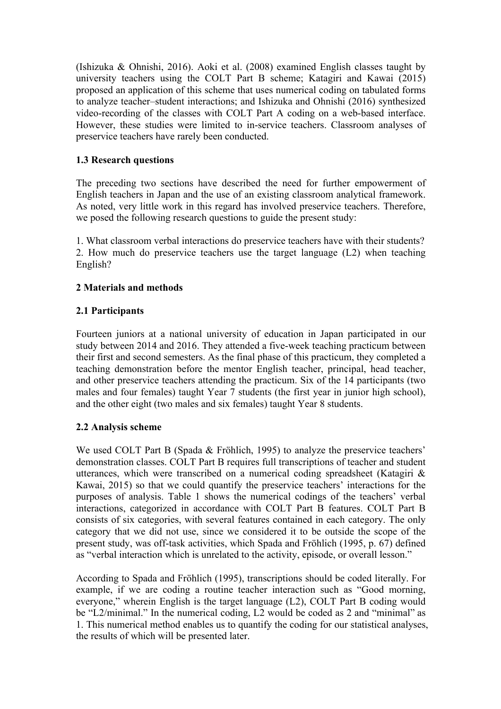(Ishizuka & Ohnishi, 2016). Aoki et al. (2008) examined English classes taught by university teachers using the COLT Part B scheme; Katagiri and Kawai (2015) proposed an application of this scheme that uses numerical coding on tabulated forms to analyze teacher–student interactions; and Ishizuka and Ohnishi (2016) synthesized video-recording of the classes with COLT Part A coding on a web-based interface. However, these studies were limited to in-service teachers. Classroom analyses of preservice teachers have rarely been conducted.

# **1.3 Research questions**

The preceding two sections have described the need for further empowerment of English teachers in Japan and the use of an existing classroom analytical framework. As noted, very little work in this regard has involved preservice teachers. Therefore, we posed the following research questions to guide the present study:

1. What classroom verbal interactions do preservice teachers have with their students? 2. How much do preservice teachers use the target language (L2) when teaching English?

# **2 Materials and methods**

# **2.1 Participants**

Fourteen juniors at a national university of education in Japan participated in our study between 2014 and 2016. They attended a five-week teaching practicum between their first and second semesters. As the final phase of this practicum, they completed a teaching demonstration before the mentor English teacher, principal, head teacher, and other preservice teachers attending the practicum. Six of the 14 participants (two males and four females) taught Year 7 students (the first year in junior high school). and the other eight (two males and six females) taught Year 8 students.

# **2.2 Analysis scheme**

We used COLT Part B (Spada & Fröhlich, 1995) to analyze the preservice teachers' demonstration classes. COLT Part B requires full transcriptions of teacher and student utterances, which were transcribed on a numerical coding spreadsheet (Katagiri & Kawai, 2015) so that we could quantify the preservice teachers' interactions for the purposes of analysis. Table 1 shows the numerical codings of the teachers' verbal interactions, categorized in accordance with COLT Part B features. COLT Part B consists of six categories, with several features contained in each category. The only category that we did not use, since we considered it to be outside the scope of the present study, was off-task activities, which Spada and Fröhlich (1995, p. 67) defined as "verbal interaction which is unrelated to the activity, episode, or overall lesson."

According to Spada and Fröhlich (1995), transcriptions should be coded literally. For example, if we are coding a routine teacher interaction such as "Good morning, everyone," wherein English is the target language (L2), COLT Part B coding would be "L2/minimal." In the numerical coding, L2 would be coded as 2 and "minimal" as 1. This numerical method enables us to quantify the coding for our statistical analyses, the results of which will be presented later.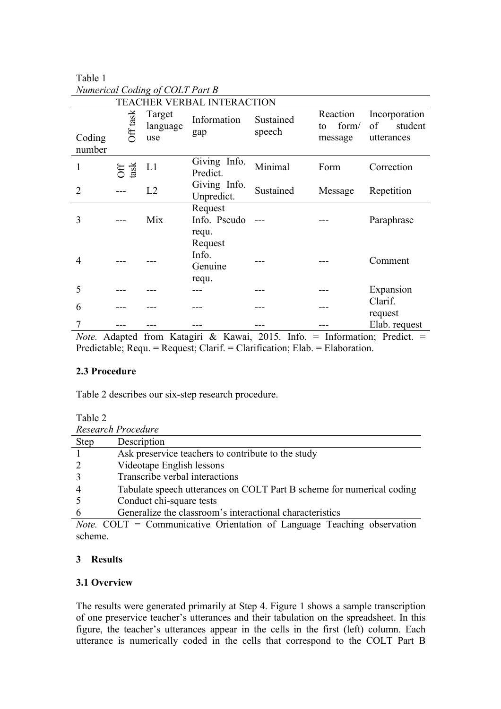|                                             | Tavit T         |                           |                                                                             |                                       |                                    |                                              |  |  |  |
|---------------------------------------------|-----------------|---------------------------|-----------------------------------------------------------------------------|---------------------------------------|------------------------------------|----------------------------------------------|--|--|--|
| Numerical Coding of COLT Part B             |                 |                           |                                                                             |                                       |                                    |                                              |  |  |  |
| TEACHER VERBAL INTERACTION                  |                 |                           |                                                                             |                                       |                                    |                                              |  |  |  |
| Coding<br>number                            | Off task        | Target<br>language<br>use | Information<br>gap                                                          | Sustained<br>speech                   | Reaction<br>form/<br>to<br>message | Incorporation<br>of<br>student<br>utterances |  |  |  |
| $\mathbf{1}$                                | Off<br>task     | L1                        | Giving Info.<br>Predict.                                                    | Minimal                               | Form                               | Correction                                   |  |  |  |
| $\overline{2}$                              |                 | L2                        | Giving Info.<br>Unpredict.                                                  | Sustained                             | Message                            | Repetition                                   |  |  |  |
| 3                                           |                 | Mix                       | Request<br>Info. Pseudo                                                     |                                       |                                    | Paraphrase                                   |  |  |  |
| $\overline{4}$                              |                 |                           | requ.<br>Request<br>Info.<br>Genuine<br>requ.                               |                                       |                                    | Comment                                      |  |  |  |
| 5                                           |                 |                           |                                                                             |                                       |                                    | Expansion                                    |  |  |  |
| 6                                           |                 |                           |                                                                             |                                       |                                    | Clarif.<br>request                           |  |  |  |
| 7                                           |                 |                           |                                                                             |                                       |                                    | Elab. request                                |  |  |  |
| $\lambda$ L <sub><math>\alpha</math>t</sub> | $\Delta$ dontod |                           | $f_{\text{roun}}$ $V_{\text{efonini}}$ $\ell_{\text{r}}$ $V_{\text{ouroi}}$ | 2015<br>$\mathbf{L} \cdot \mathbf{L}$ |                                    | $-$ Information: Dradiat $-$                 |  |  |  |

*Note.* Adapted from Katagiri & Kawai, 2015. Info. = Information; Predict. = Predictable; Requ. = Request; Clarif. = Clarification; Elab. = Elaboration.

## **2.3 Procedure**

Table 2 describes our six-step research procedure.

Table 1

| Research Procedure |                                                                       |  |  |  |  |  |
|--------------------|-----------------------------------------------------------------------|--|--|--|--|--|
| <b>Step</b>        | Description                                                           |  |  |  |  |  |
|                    | Ask preservice teachers to contribute to the study                    |  |  |  |  |  |
|                    | Videotape English lessons                                             |  |  |  |  |  |
|                    | Transcribe verbal interactions                                        |  |  |  |  |  |
|                    | Tabulate speech utterances on COLT Part B scheme for numerical coding |  |  |  |  |  |
|                    | Conduct chi-square tests                                              |  |  |  |  |  |
|                    | Generalize the classroom's interactional characteristics              |  |  |  |  |  |

*Note.* COLT = Communicative Orientation of Language Teaching observation scheme.

## **3 Results**

#### **3.1 Overview**

The results were generated primarily at Step 4. Figure 1 shows a sample transcription of one preservice teacher's utterances and their tabulation on the spreadsheet. In this figure, the teacher's utterances appear in the cells in the first (left) column. Each utterance is numerically coded in the cells that correspond to the COLT Part B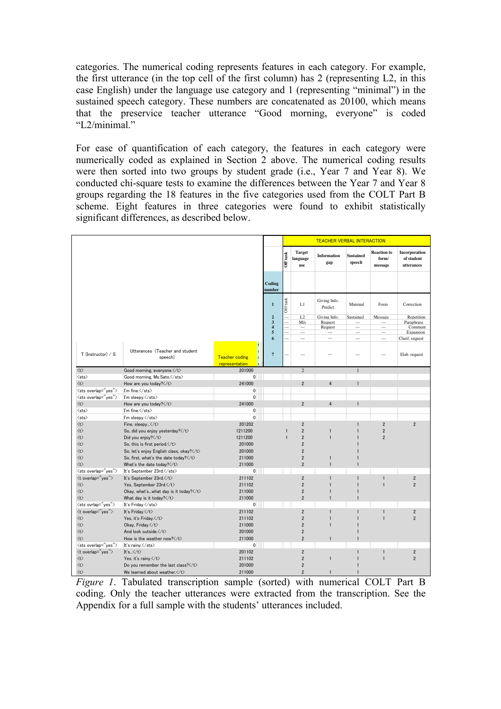categories. The numerical coding represents features in each category. For example, the first utterance (in the top cell of the first column) has 2 (representing L2, in this case English) under the language use category and 1 (representing "minimal") in the sustained speech category. These numbers are concatenated as 20100, which means that the preservice teacher utterance "Good morning, everyone" is coded "L2/minimal."

For ease of quantification of each category, the features in each category were numerically coded as explained in Section 2 above. The numerical coding results were then sorted into two groups by student grade (i.e., Year 7 and Year 8). We conducted chi-square tests to examine the differences between the Year 7 and Year 8 groups regarding the 18 features in the five categories used from the COLT Part B scheme. Eight features in three categories were found to exhibit statistically significant differences, as described below.

|                           |                                                           |                                         |                                                                   |                        |                                                   | <b>TEACHER VERBAL INTERACTION</b>  |                                                                     |                                             |                                                  |
|---------------------------|-----------------------------------------------------------|-----------------------------------------|-------------------------------------------------------------------|------------------------|---------------------------------------------------|------------------------------------|---------------------------------------------------------------------|---------------------------------------------|--------------------------------------------------|
|                           |                                                           |                                         |                                                                   | Off task               | <b>Target</b><br>language<br>use                  | <b>Information</b><br>gap          | <b>Sustained</b><br>speech                                          | <b>Reaction</b> to<br>form/<br>message      | <b>Incorporation</b><br>of student<br>utterances |
|                           |                                                           |                                         | Coding<br>number                                                  |                        |                                                   |                                    |                                                                     |                                             |                                                  |
|                           |                                                           |                                         | $\mathbf{1}$                                                      | Off task               | L1                                                | Giving Info.<br>Predict.           | Minimal                                                             | Form                                        | Correction                                       |
|                           |                                                           |                                         | $\bf{2}$<br>$\mathbf{3}$<br>$\overline{\mathbf{4}}$<br>$\sqrt{5}$ | u.<br>$\cdots$<br><br> | L2<br>Mix<br>$\cdots$<br>$\overline{\phantom{a}}$ | Giving Info.<br>Request<br>Request | Sustained<br>$\cdots$<br>$\overline{\phantom{a}}$<br>$\overline{a}$ | Message<br>$\cdots$<br>$\ldots$<br>$\cdots$ | Repetition<br>Paraphrase<br>Comment<br>Expansion |
|                           |                                                           |                                         | 6                                                                 | $\sim$                 | $\sim$                                            | $\overline{\phantom{a}}$           | $\overline{\phantom{a}}$                                            | $\overline{\phantom{a}}$                    | Clarif. request                                  |
| T (Instructor) / S        | Utterances (Teacher and student<br>speech)                | <b>Teacher coding</b><br>representation | $\overline{7}$                                                    |                        | $\overline{\phantom{a}}$                          |                                    | ---                                                                 | $---$                                       | Elab. request                                    |
| $\langle t \rangle$       | Good morning, everyone.                                   | 201000                                  |                                                                   |                        | $\overline{2}$                                    |                                    | $\mathbf{1}$                                                        |                                             |                                                  |
| $\langle$ sts $\rangle$   | Good morning, Ms.Sato.                                    | $\overline{0}$                          |                                                                   |                        |                                                   |                                    |                                                                     |                                             |                                                  |
| $\langle t \rangle$       | How are you today? $\langle \rangle$                      | 241000                                  |                                                                   |                        | $\overline{2}$                                    | $\overline{4}$                     | $\mathbf{1}$                                                        |                                             |                                                  |
| <sts overlap="yes"></sts> | I'm fine.                                                 | 0                                       |                                                                   |                        |                                                   |                                    |                                                                     |                                             |                                                  |
| <sts overlap="yes"></sts> | I'm sleepy.                                               | 0                                       |                                                                   |                        |                                                   |                                    |                                                                     |                                             |                                                  |
| $\langle t \rangle$       | How are you today?                                        | 241000                                  |                                                                   |                        | $\overline{2}$                                    | $\overline{4}$                     | $\mathbf{1}$                                                        |                                             |                                                  |
| $\langle$ sts $\rangle$   | I'm fine.                                                 | $\overline{0}$                          |                                                                   |                        |                                                   |                                    |                                                                     |                                             |                                                  |
| $\langle$ sts $\rangle$   | I'm sleepv.                                               | $\overline{0}$                          |                                                                   |                        |                                                   |                                    |                                                                     |                                             |                                                  |
| $\langle t \rangle$       | Fine, sleepy                                              | 201202                                  |                                                                   |                        | $\overline{2}$                                    |                                    | $\mathbf{1}$                                                        | $\overline{2}$                              | $\overline{2}$                                   |
| $\langle t \rangle$       | So, did you enjoy yesterday?                              | 1211200                                 |                                                                   | $\mathbf{1}$           | $\overline{2}$                                    | $\mathbf{1}$                       | $\mathbf{1}$                                                        | $\overline{2}$                              |                                                  |
| $\langle t \rangle$       | Did you enjoy? $\langle \rangle$                          | 1211200                                 |                                                                   | $\blacksquare$         | $\overline{2}$                                    | $\mathbf{1}$                       | $\mathbf{1}$                                                        | $\overline{2}$                              |                                                  |
| $\langle t \rangle$       | So, this is first period. $\langle /t \rangle$            | 201000                                  |                                                                   |                        | $\overline{2}$                                    |                                    |                                                                     |                                             |                                                  |
| $\langle t \rangle$       | So, let's enjoy English class, okay? $\langle /t \rangle$ | 201000                                  |                                                                   |                        | $\overline{2}$                                    |                                    |                                                                     |                                             |                                                  |
| $\langle t \rangle$       | So, first, what's the date today? $\langle /t \rangle$    | 211000                                  |                                                                   |                        | $\overline{2}$                                    | $\mathbf{1}$                       |                                                                     |                                             |                                                  |
| $\langle t \rangle$       | What's the date today? $\langle /t \rangle$               | 211000                                  |                                                                   |                        | $\overline{2}$                                    | $\mathbf{1}$                       | $\blacksquare$                                                      |                                             |                                                  |
| <sts overlap="yes"></sts> | It's September 23rd.                                      | 0                                       |                                                                   |                        |                                                   |                                    |                                                                     |                                             |                                                  |
| <t overlap="yes"></t>     | It's September 23rd.                                      | 211102                                  |                                                                   |                        | $\sqrt{2}$                                        | $\mathbf{1}$                       | $\mathbf{1}$                                                        | 1                                           | $\overline{2}$                                   |
| $\langle t \rangle$       | Yes, September 23rd.                                      | 211102                                  |                                                                   |                        | $\overline{2}$                                    | $\mathbf{1}$                       | $\mathbf{1}$                                                        | $\overline{1}$                              | $\overline{2}$                                   |
| $\langle t \rangle$       | Okay, what'swhat day is it today? $\langle /t \rangle$    | 211000                                  |                                                                   |                        | $\overline{\mathbf{2}}$                           | $\mathbf{1}$                       | 1                                                                   |                                             |                                                  |
| $\langle t \rangle$       | What day is it today?                                     | 211000                                  |                                                                   |                        | $\overline{2}$                                    | $\mathbf{1}$                       | $\mathbf{1}$                                                        |                                             |                                                  |
| <sts ovrlap="yes"></sts>  | It's Friday.                                              | $\overline{0}$                          |                                                                   |                        |                                                   |                                    |                                                                     |                                             |                                                  |
| <t overlap="yes"></t>     | It's Friday.                                              | 211102                                  |                                                                   |                        | $\overline{2}$                                    | $\mathbf{1}$                       | $\mathbf{1}$                                                        | $\mathbf{1}$                                | $\overline{2}$                                   |
| $\langle t \rangle$       | Yes, it's Friday.                                         | 211102                                  |                                                                   |                        | $\overline{2}$                                    | $\mathbf{1}$                       | $\mathbf{1}$                                                        | $\mathbf{1}$                                | $\overline{2}$                                   |
| $\langle t \rangle$       | Okay, Friday. $\langle /t \rangle$                        | 211000                                  |                                                                   |                        | $\overline{2}$                                    | $\mathbf{1}$                       | $\blacksquare$                                                      |                                             |                                                  |
| $\langle t \rangle$       | And look outside.                                         | 201000                                  |                                                                   |                        | $\overline{2}$                                    |                                    |                                                                     |                                             |                                                  |
| $\langle t \rangle$       | How is the weather now?                                   | 211000                                  |                                                                   |                        | $\overline{2}$                                    | $\mathbf{1}$                       | $\mathbf{1}$                                                        |                                             |                                                  |
| <sts overlap="yes"></sts> | It's rainy.                                               | $\overline{0}$                          |                                                                   |                        |                                                   |                                    |                                                                     |                                             |                                                  |
| <t overlap="yes"></t>     | It's $\langle /t \rangle$                                 | 201102                                  |                                                                   |                        | $\sqrt{2}$                                        |                                    | $\mathbf{1}$                                                        | $\mathbf{1}$                                | $\overline{2}$                                   |
| $\langle t \rangle$       | Yes, it's rainy.                                          | 211102                                  |                                                                   |                        | $\overline{2}$                                    | $\mathbf{1}$                       | $\mathbf{1}$                                                        | $\mathbf{1}$                                | $\overline{2}$                                   |
| $\langle t \rangle$       | Do you remember the last class?                           | 201000                                  |                                                                   |                        | $\overline{2}$                                    |                                    |                                                                     |                                             |                                                  |
| $\langle t \rangle$       | We learned about weather.                                 | 211000                                  |                                                                   |                        | $\overline{2}$                                    | $\mathbf{1}$                       | $\blacksquare$                                                      |                                             |                                                  |

*Figure 1*. Tabulated transcription sample (sorted) with numerical COLT Part B coding. Only the teacher utterances were extracted from the transcription. See the Appendix for a full sample with the students' utterances included.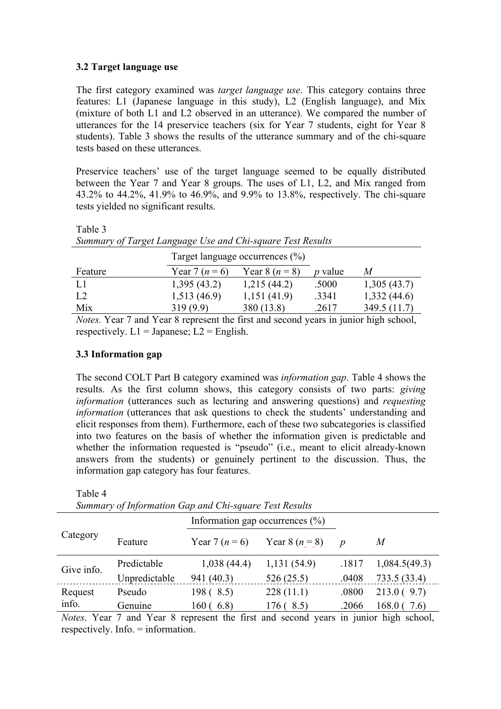## **3.2 Target language use**

The first category examined was *target language use*. This category contains three features: L1 (Japanese language in this study), L2 (English language), and Mix (mixture of both L1 and L2 observed in an utterance). We compared the number of utterances for the 14 preservice teachers (six for Year 7 students, eight for Year 8 students). Table 3 shows the results of the utterance summary and of the chi-square tests based on these utterances.

Preservice teachers' use of the target language seemed to be equally distributed between the Year 7 and Year 8 groups. The uses of L1, L2, and Mix ranged from 43.2% to 44.2%, 41.9% to 46.9%, and 9.9% to 13.8%, respectively. The chi-square tests yielded no significant results.

| Summary of Target Language Use and Chi-square Test Results |                                    |                    |                |              |  |  |  |  |  |
|------------------------------------------------------------|------------------------------------|--------------------|----------------|--------------|--|--|--|--|--|
|                                                            | Target language occurrences $(\%)$ |                    |                |              |  |  |  |  |  |
| Feature                                                    | Year 7 ( $n = 6$ )                 | Year 8 ( $n = 8$ ) | <i>p</i> value | M            |  |  |  |  |  |
| L1                                                         | 1,395(43.2)                        | 1,215(44.2)        | .5000          | 1,305(43.7)  |  |  |  |  |  |
| L2                                                         | 1,513(46.9)                        | 1,151(41.9)        | .3341          | 1,332(44.6)  |  |  |  |  |  |
| Mix                                                        | 319(9.9)                           | 380 (13.8)         | .2617          | 349.5 (11.7) |  |  |  |  |  |

*Notes.* Year 7 and Year 8 represent the first and second years in junior high school, respectively.  $L1 = \text{Japanese}$ ;  $L2 = \text{English}$ .

## **3.3 Information gap**

Table 3

Table 4

The second COLT Part B category examined was *information gap*. Table 4 shows the results. As the first column shows, this category consists of two parts: *giving information* (utterances such as lecturing and answering questions) and *requesting information* (utterances that ask questions to check the students' understanding and elicit responses from them). Furthermore, each of these two subcategories is classified into two features on the basis of whether the information given is predictable and whether the information requested is "pseudo" (i.e., meant to elicit already-known answers from the students) or genuinely pertinent to the discussion. Thus, the information gap category has four features.

| Summary of Information Gap and Chi-square Test Results |               |                                     |                    |                  |               |  |  |  |
|--------------------------------------------------------|---------------|-------------------------------------|--------------------|------------------|---------------|--|--|--|
|                                                        |               | Information gap occurrences $(\% )$ |                    |                  |               |  |  |  |
| Category                                               | Feature       | Year 7 ( $n = 6$ )                  | Year 8 ( $n = 8$ ) | $\boldsymbol{p}$ | M             |  |  |  |
| Give info.                                             | Predictable   | 1,038(44.4)                         | 1,131(54.9)        | .1817            | 1,084.5(49.3) |  |  |  |
|                                                        | Unpredictable | 941 (40.3)                          | 526(25.5)          | .0408            | 733.5(33.4)   |  |  |  |
| Request                                                | Pseudo        | 198 (8.5)                           | 228(11.1)          | .0800            | 213.0(9.7)    |  |  |  |
| info.                                                  | Genuine       | 160(6.8)                            | 176(8.5)           | .2066            | 168.0(7.6)    |  |  |  |
|                                                        |               |                                     |                    |                  |               |  |  |  |

*Summary of Information Gap and Chi-square Test Results*

*Notes*. Year 7 and Year 8 represent the first and second years in junior high school, respectively. Info. = information.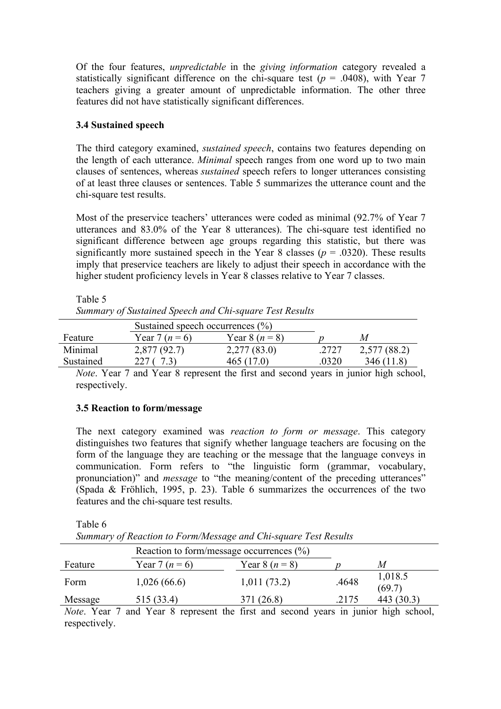Of the four features, *unpredictable* in the *giving information* category revealed a statistically significant difference on the chi-square test ( $p = .0408$ ), with Year 7 teachers giving a greater amount of unpredictable information. The other three features did not have statistically significant differences.

# **3.4 Sustained speech**

The third category examined, *sustained speech*, contains two features depending on the length of each utterance. *Minimal* speech ranges from one word up to two main clauses of sentences, whereas *sustained* speech refers to longer utterances consisting of at least three clauses or sentences. Table 5 summarizes the utterance count and the chi-square test results.

Most of the preservice teachers' utterances were coded as minimal (92.7% of Year 7 utterances and 83.0% of the Year 8 utterances). The chi-square test identified no significant difference between age groups regarding this statistic, but there was significantly more sustained speech in the Year 8 classes ( $p = .0320$ ). These results imply that preservice teachers are likely to adjust their speech in accordance with the higher student proficiency levels in Year 8 classes relative to Year 7 classes.

|           | Sustained speech occurrences $(\% )$ |                    |       |              |  |  |  |  |
|-----------|--------------------------------------|--------------------|-------|--------------|--|--|--|--|
| Feature   | Year 7 ( $n = 6$ )                   | Year 8 ( $n = 8$ ) |       | M            |  |  |  |  |
| Minimal   | 2,877(92.7)                          | 2,277(83.0)        | .2727 | 2,577 (88.2) |  |  |  |  |
| Sustained |                                      | 465 (17.0)         | .0320 | 346 (11.8)   |  |  |  |  |
|           |                                      |                    |       |              |  |  |  |  |

Table 5 *Summary of Sustained Speech and Chi-square Test Results*

*Note*. Year 7 and Year 8 represent the first and second years in junior high school, respectively.

## **3.5 Reaction to form/message**

The next category examined was *reaction to form or message*. This category distinguishes two features that signify whether language teachers are focusing on the form of the language they are teaching or the message that the language conveys in communication. Form refers to "the linguistic form (grammar, vocabulary, pronunciation)" and *message* to "the meaning/content of the preceding utterances" (Spada & Fröhlich, 1995, p. 23). Table 6 summarizes the occurrences of the two features and the chi-square test results.

Table 6 *Summary of Reaction to Form/Message and Chi-square Test Results* Reaction to form/message occurrences (%) Feature Year 7 ( $n = 6$ ) Year 8 ( $n = 8$ ) p M Form 1,026 (66.6) 1,011 (73.2) .4648 1,018.5

Message 515 (33.4) 371 (26.8) .2175 443 (30.3) *Note*. Year 7 and Year 8 represent the first and second years in junior high school, respectively.

 $(69.7)$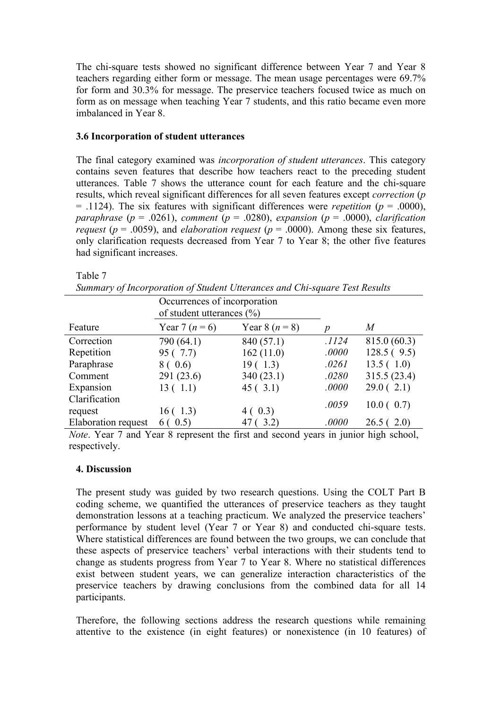The chi-square tests showed no significant difference between Year 7 and Year 8 teachers regarding either form or message. The mean usage percentages were 69.7% for form and 30.3% for message. The preservice teachers focused twice as much on form as on message when teaching Year 7 students, and this ratio became even more imbalanced in Year 8.

#### **3.6 Incorporation of student utterances**

The final category examined was *incorporation of student utterances*. This category contains seven features that describe how teachers react to the preceding student utterances. Table 7 shows the utterance count for each feature and the chi-square results, which reveal significant differences for all seven features except *correction* (*p*  $=$  .1124). The six features with significant differences were *repetition* ( $p = .0000$ ), *paraphrase* ( $p = .0261$ ), *comment* ( $p = .0280$ ), *expansion* ( $p = .0000$ ), *clarification request* ( $p = .0059$ ), and *elaboration request* ( $p = .0000$ ). Among these six features, only clarification requests decreased from Year 7 to Year 8; the other five features had significant increases.

Table 7

| Occurrences of incorporation<br>of student utterances $(\% )$ |                    |                    |       |              |  |  |  |
|---------------------------------------------------------------|--------------------|--------------------|-------|--------------|--|--|--|
| Feature                                                       | Year 7 ( $n = 6$ ) | Year 8 ( $n = 8$ ) | p     | M            |  |  |  |
| Correction                                                    | 790 (64.1)         | 840 (57.1)         | .1124 | 815.0(60.3)  |  |  |  |
| Repetition                                                    | 95 (7.7)           | 162(11.0)          | .0000 | 128.5(9.5)   |  |  |  |
| Paraphrase                                                    | 8 ( 0.6)           | 19(1.3)            | .0261 | 13.5(1.0)    |  |  |  |
| Comment                                                       | 291(23.6)          | 340(23.1)          | .0280 | 315.5 (23.4) |  |  |  |
| Expansion                                                     | 13(1.1)            | 45(3.1)            | .0000 | 29.0(2.1)    |  |  |  |
| Clarification                                                 |                    |                    | .0059 | 10.0(0.7)    |  |  |  |
| request                                                       | 16(1.3)            | 4(0.3)             |       |              |  |  |  |
| Elaboration request                                           | 6(0.5)             | 47 (3.2)           | .0000 | 26.5(2.0)    |  |  |  |

*Note*. Year 7 and Year 8 represent the first and second years in junior high school, respectively.

#### **4. Discussion**

The present study was guided by two research questions. Using the COLT Part B coding scheme, we quantified the utterances of preservice teachers as they taught demonstration lessons at a teaching practicum. We analyzed the preservice teachers' performance by student level (Year 7 or Year 8) and conducted chi-square tests. Where statistical differences are found between the two groups, we can conclude that these aspects of preservice teachers' verbal interactions with their students tend to change as students progress from Year 7 to Year 8. Where no statistical differences exist between student years, we can generalize interaction characteristics of the preservice teachers by drawing conclusions from the combined data for all 14 participants.

Therefore, the following sections address the research questions while remaining attentive to the existence (in eight features) or nonexistence (in 10 features) of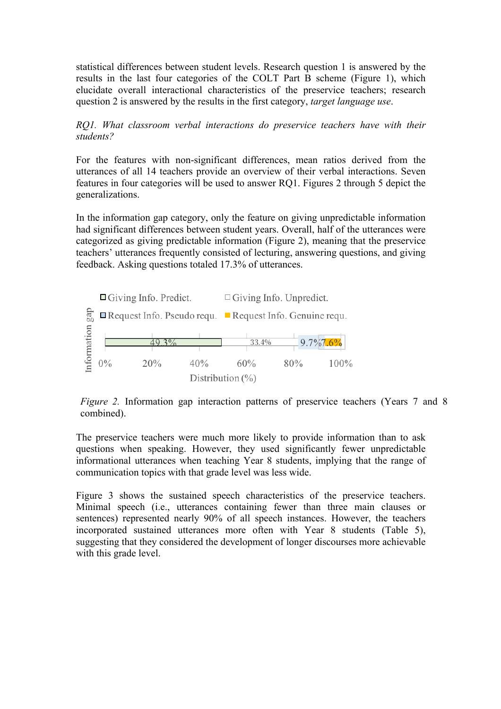statistical differences between student levels. Research question 1 is answered by the results in the last four categories of the COLT Part B scheme (Figure 1), which elucidate overall interactional characteristics of the preservice teachers; research question 2 is answered by the results in the first category, *target language use*.

*RQ1. What classroom verbal interactions do preservice teachers have with their students?*

For the features with non-significant differences, mean ratios derived from the utterances of all 14 teachers provide an overview of their verbal interactions. Seven features in four categories will be used to answer RQ1. Figures 2 through 5 depict the generalizations.

In the information gap category, only the feature on giving unpredictable information had significant differences between student years. Overall, half of the utterances were categorized as giving predictable information (Figure 2), meaning that the preservice teachers' utterances frequently consisted of lecturing, answering questions, and giving feedback. Asking questions totaled 17.3% of utterances.



*Figure 2.* Information gap interaction patterns of preservice teachers (Years 7 and 8) combined).

The preservice teachers were much more likely to provide information than to ask questions when speaking. However, they used significantly fewer unpredictable informational utterances when teaching Year 8 students, implying that the range of communication topics with that grade level was less wide.

Figure 3 shows the sustained speech characteristics of the preservice teachers. Minimal speech (i.e., utterances containing fewer than three main clauses or sentences) represented nearly 90% of all speech instances. However, the teachers incorporated sustained utterances more often with Year 8 students (Table 5), suggesting that they considered the development of longer discourses more achievable with this grade level.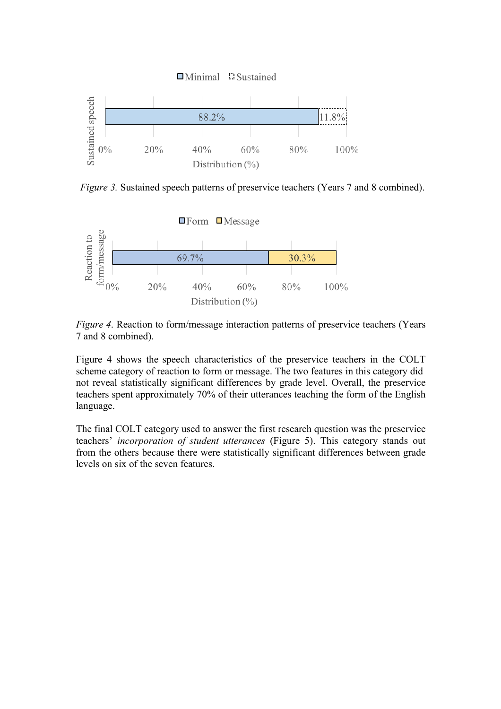

*Figure 3.* Sustained speech patterns of preservice teachers (Years 7 and 8 combined).



*Figure 4*. Reaction to form/message interaction patterns of preservice teachers (Years 7 and 8 combined).

Figure 4 shows the speech characteristics of the preservice teachers in the COLT scheme category of reaction to form or message. The two features in this category did not reveal statistically significant differences by grade level. Overall, the preservice teachers spent approximately 70% of their utterances teaching the form of the English language.

The final COLT category used to answer the first research question was the preservice teachers' *incorporation of student utterances* (Figure 5). This category stands out from the others because there were statistically significant differences between grade levels on six of the seven features.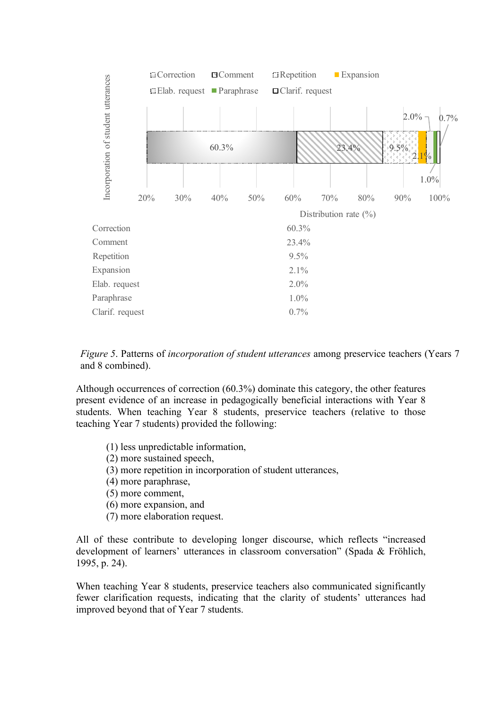

*Figure 5*. Patterns of *incorporation of student utterances* among preservice teachers (Years 7 and 8 combined).

Although occurrences of correction (60.3%) dominate this category, the other features present evidence of an increase in pedagogically beneficial interactions with Year 8 students. When teaching Year 8 students, preservice teachers (relative to those teaching Year 7 students) provided the following:

- (1) less unpredictable information,
- (2) more sustained speech,
- (3) more repetition in incorporation of student utterances,
- (4) more paraphrase,
- (5) more comment,
- (6) more expansion, and
- (7) more elaboration request.

All of these contribute to developing longer discourse, which reflects "increased development of learners' utterances in classroom conversation" (Spada & Fröhlich, 1995, p. 24).

When teaching Year 8 students, preservice teachers also communicated significantly fewer clarification requests, indicating that the clarity of students' utterances had improved beyond that of Year 7 students.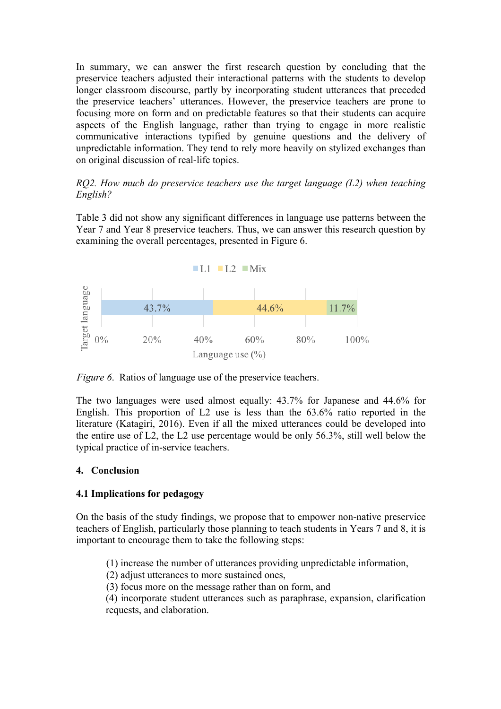In summary, we can answer the first research question by concluding that the preservice teachers adjusted their interactional patterns with the students to develop longer classroom discourse, partly by incorporating student utterances that preceded the preservice teachers' utterances. However, the preservice teachers are prone to focusing more on form and on predictable features so that their students can acquire aspects of the English language, rather than trying to engage in more realistic communicative interactions typified by genuine questions and the delivery of unpredictable information. They tend to rely more heavily on stylized exchanges than on original discussion of real-life topics.

### *RQ2. How much do preservice teachers use the target language (L2) when teaching English?*

Table 3 did not show any significant differences in language use patterns between the Year 7 and Year 8 preservice teachers. Thus, we can answer this research question by examining the overall percentages, presented in Figure 6.



*Figure 6*. Ratios of language use of the preservice teachers.

The two languages were used almost equally: 43.7% for Japanese and 44.6% for English. This proportion of L2 use is less than the 63.6% ratio reported in the literature (Katagiri, 2016). Even if all the mixed utterances could be developed into the entire use of L2, the L2 use percentage would be only 56.3%, still well below the typical practice of in-service teachers.

## **4. Conclusion**

## **4.1 Implications for pedagogy**

On the basis of the study findings, we propose that to empower non-native preservice teachers of English, particularly those planning to teach students in Years 7 and 8, it is important to encourage them to take the following steps:

(1) increase the number of utterances providing unpredictable information,

(2) adjust utterances to more sustained ones,

(3) focus more on the message rather than on form, and

(4) incorporate student utterances such as paraphrase, expansion, clarification requests, and elaboration.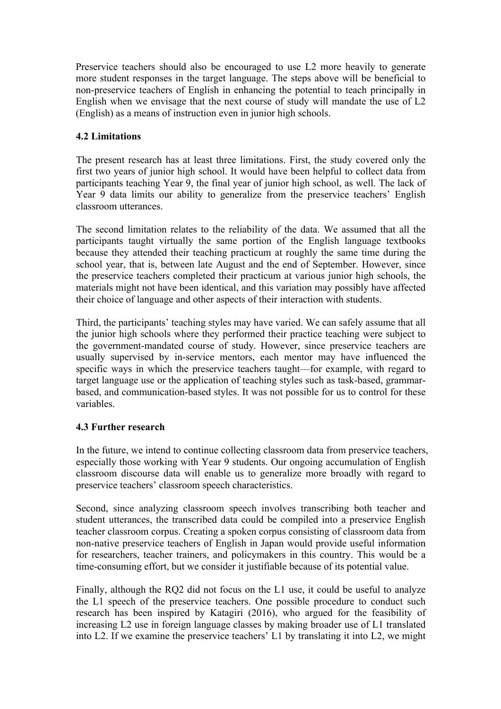Preservice teachers should also be encouraged to use L2 more heavily to generate more student responses in the target language. The steps above will be beneficial to non-preservice teachers of English in enhancing the potential to teach principally in English when we envisage that the next course of study will mandate the use of L2 (English) as a means of instruction even in junior high schools.

# **4.2 Limitations**

The present research has at least three limitations. First, the study covered only the first two years of junior high school. It would have been helpful to collect data from participants teaching Year 9, the final year of junior high school, as well. The lack of Year 9 data limits our ability to generalize from the preservice teachers' English classroom utterances.

The second limitation relates to the reliability of the data. We assumed that all the participants taught virtually the same portion of the English language textbooks because they attended their teaching practicum at roughly the same time during the school year, that is, between late August and the end of September. However, since the preservice teachers completed their practicum at various junior high schools, the materials might not have been identical, and this variation may possibly have affected their choice of language and other aspects of their interaction with students.

Third, the participants' teaching styles may have varied. We can safely assume that all the junior high schools where they performed their practice teaching were subject to the government-mandated course of study. However, since preservice teachers are usually supervised by in-service mentors, each mentor may have influenced the specific ways in which the preservice teachers taught—for example, with regard to target language use or the application of teaching styles such as task-based, grammarbased, and communication-based styles. It was not possible for us to control for these variables.

## **4.3 Further research**

In the future, we intend to continue collecting classroom data from preservice teachers, especially those working with Year 9 students. Our ongoing accumulation of English classroom discourse data will enable us to generalize more broadly with regard to preservice teachers' classroom speech characteristics.

Second, since analyzing classroom speech involves transcribing both teacher and student utterances, the transcribed data could be compiled into a preservice English teacher classroom corpus. Creating a spoken corpus consisting of classroom data from non-native preservice teachers of English in Japan would provide useful information for researchers, teacher trainers, and policymakers in this country. This would be a time-consuming effort, but we consider it justifiable because of its potential value.

Finally, although the RQ2 did not focus on the L1 use, it could be useful to analyze the L1 speech of the preservice teachers. One possible procedure to conduct such research has been inspired by Katagiri (2016), who argued for the feasibility of increasing L2 use in foreign language classes by making broader use of L1 translated into L2. If we examine the preservice teachers' L1 by translating it into L2, we might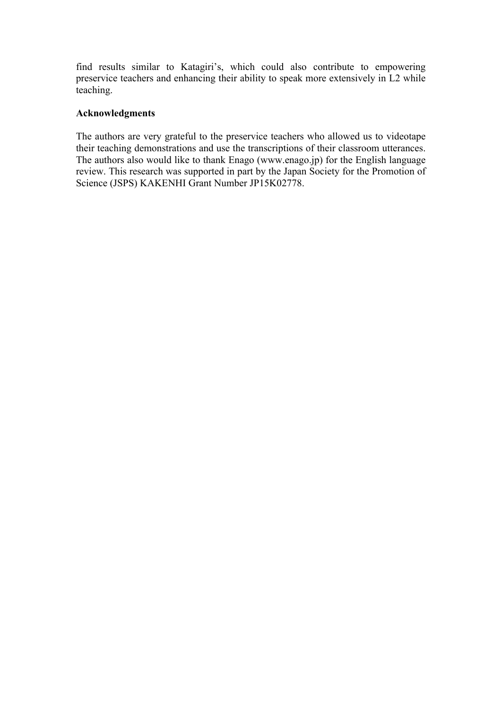find results similar to Katagiri's, which could also contribute to empowering preservice teachers and enhancing their ability to speak more extensively in L2 while teaching.

#### **Acknowledgments**

The authors are very grateful to the preservice teachers who allowed us to videotape their teaching demonstrations and use the transcriptions of their classroom utterances. The authors also would like to thank Enago (www.enago.jp) for the English language review. This research was supported in part by the Japan Society for the Promotion of Science (JSPS) KAKENHI Grant Number JP15K02778.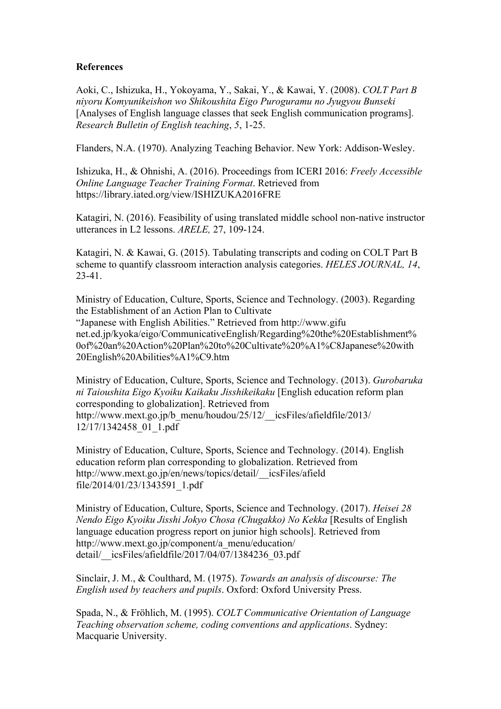#### **References**

Aoki, C., Ishizuka, H., Yokoyama, Y., Sakai, Y., & Kawai, Y. (2008). *COLT Part B niyoru Komyunikeishon wo Shikoushita Eigo Puroguramu no Jyugyou Bunseki* [Analyses of English language classes that seek English communication programs]. *Research Bulletin of English teaching*, *5*, 1-25.

Flanders, N.A. (1970). Analyzing Teaching Behavior. New York: Addison-Wesley.

Ishizuka, H., & Ohnishi, A. (2016). Proceedings from ICERI 2016: *Freely Accessible Online Language Teacher Training Format*. Retrieved from https://library.iated.org/view/ISHIZUKA2016FRE

Katagiri, N. (2016). Feasibility of using translated middle school non-native instructor utterances in L2 lessons. *ARELE,* 27, 109-124.

Katagiri, N. & Kawai, G. (2015). Tabulating transcripts and coding on COLT Part B scheme to quantify classroom interaction analysis categories. *HELES JOURNAL, 14*, 23-41.

Ministry of Education, Culture, Sports, Science and Technology. (2003). Regarding the Establishment of an Action Plan to Cultivate "Japanese with English Abilities." Retrieved from http://www.gifu net.ed.jp/kyoka/eigo/CommunicativeEnglish/Regarding%20the%20Establishment% 0of%20an%20Action%20Plan%20to%20Cultivate%20%A1%C8Japanese%20with 20English%20Abilities%A1%C9.htm

Ministry of Education, Culture, Sports, Science and Technology. (2013). *Gurobaruka ni Taioushita Eigo Kyoiku Kaikaku Jisshikeikaku* [English education reform plan corresponding to globalization]. Retrieved from http://www.mext.go.jp/b\_menu/houdou/25/12/\_\_icsFiles/afieldfile/2013/ 12/17/1342458\_01\_1.pdf

Ministry of Education, Culture, Sports, Science and Technology. (2014). English education reform plan corresponding to globalization. Retrieved from http://www.mext.go.jp/en/news/topics/detail/\_\_icsFiles/afield file/2014/01/23/1343591\_1.pdf

Ministry of Education, Culture, Sports, Science and Technology. (2017). *Heisei 28 Nendo Eigo Kyoiku Jisshi Jokyo Chosa (Chugakko) No Kekka* [Results of English language education progress report on junior high schools]. Retrieved from http://www.mext.go.jp/component/a\_menu/education/ detail/ icsFiles/afieldfile/2017/04/07/1384236\_03.pdf

Sinclair, J. M., & Coulthard, M. (1975). *Towards an analysis of discourse: The English used by teachers and pupils*. Oxford: Oxford University Press.

Spada, N., & Fröhlich, M. (1995). *COLT Communicative Orientation of Language Teaching observation scheme, coding conventions and applications*. Sydney: Macquarie University.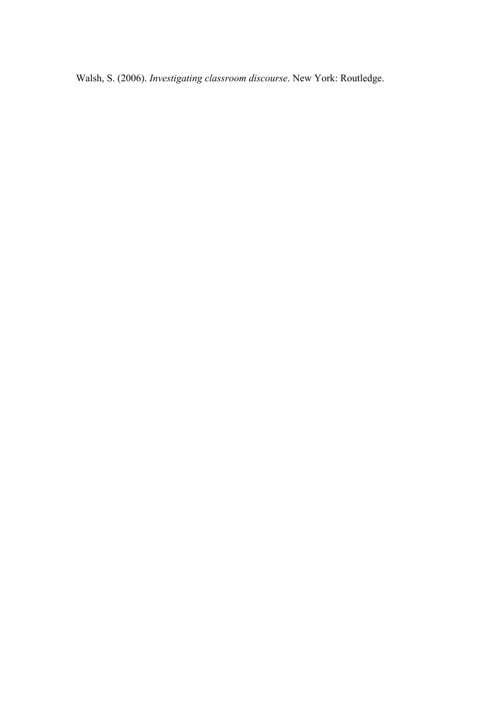Walsh, S. (2006). *Investigating classroom discourse*. New York: Routledge.